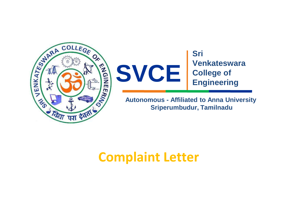



**Autonomous - Affiliated to Anna University Sriperumbudur, Tamilnadu**

## **Complaint Letter**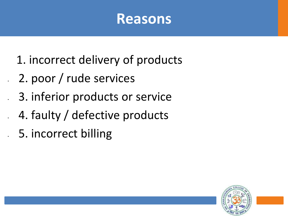## **Reasons**

- 1. incorrect delivery of products
- 2. poor / rude services
	- 3. inferior products or service
	- 4. faulty / defective products
- 5. incorrect billing

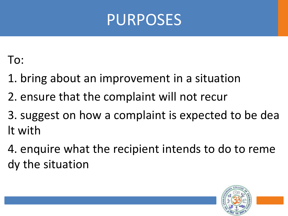

To:

- 1. bring about an improvement in a situation
- 2. ensure that the complaint will not recur
- 3. suggest on how a complaint is expected to be dea lt with
- 4. enquire what the recipient intends to do to reme dy the situation

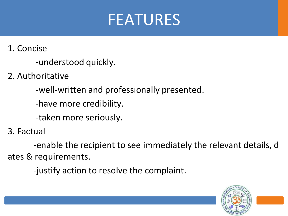## FEATURES

1. Concise

-understood quickly.

2. Authoritative

-well-written and professionally presented.

-have more credibility.

-taken more seriously.

3. Factual

-enable the recipient to see immediately the relevant details, d ates & requirements.

-justify action to resolve the complaint.

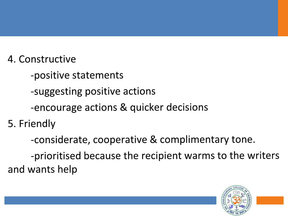- 4. Constructive
	- -positive statements
	- -suggesting positive actions
	- -encourage actions & quicker decisions
- 5. Friendly
	- -considerate, cooperative & complimentary tone.

-prioritised because the recipient warms to the writers and wants help

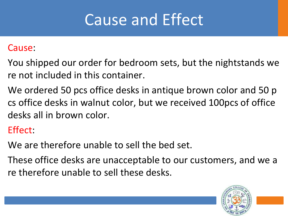## Cause and Effect

#### Cause:

- You shipped our order for bedroom sets, but the nightstands we re not included in this container.
- We ordered 50 pcs office desks in antique brown color and 50 p cs office desks in walnut color, but we received 100pcs of office desks all in brown color.

#### Effect:

- We are therefore unable to sell the bed set.
- These office desks are unacceptable to our customers, and we a re therefore unable to sell these desks.

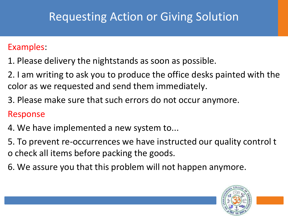## Requesting Action or Giving Solution

#### Examples:

- 1. Please delivery the nightstands as soon as possible.
- 2. I am writing to ask you to produce the office desks painted with the color as we requested and send them immediately.
- 3. Please make sure that such errors do not occur anymore.

#### Response

- 4. We have implemented a new system to...
- 5. To prevent re-occurrences we have instructed our quality control t o check all items before packing the goods.
- 6. We assure you that this problem will not happen anymore.

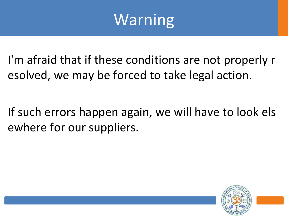## Warning

I'm afraid that if these conditions are not properly r esolved, we may be forced to take legal action.

If such errors happen again, we will have to look els ewhere for our suppliers.

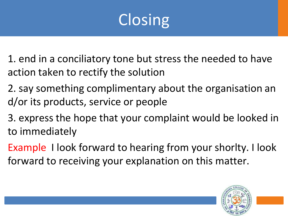# Closing

1. end in a conciliatory tone but stress the needed to have action taken to rectify the solution

2. say something complimentary about the organisation an d/or its products, service or people

3. express the hope that your complaint would be looked in to immediately

Example I look forward to hearing from your shorlty. I look forward to receiving your explanation on this matter.

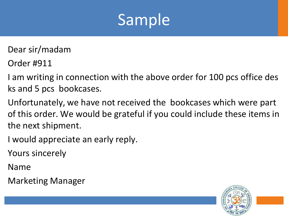

Dear sir/madam

Order #911

I am writing in connection with the above order for 100 pcs office des ks and 5 pcs bookcases.

Unfortunately, we have not received the bookcases which were part of this order. We would be grateful if you could include these items in the next shipment.

I would appreciate an early reply.

Yours sincerely

Name

Marketing Manager

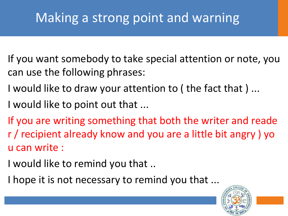## Making a strong point and warning

- If you want somebody to take special attention or note, you can use the following phrases:
- I would like to draw your attention to ( the fact that ) ...
- I would like to point out that ...
- If you are writing something that both the writer and reade r / recipient already know and you are a little bit angry ) yo u can write :
- I would like to remind you that ..
- I hope it is not necessary to remind you that ...

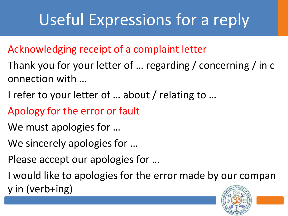# Useful Expressions for a reply

### Acknowledging receipt of a complaint letter

- Thank you for your letter of … regarding / concerning / in c onnection with …
- I refer to your letter of … about / relating to …
- Apology for the error or fault
- We must apologies for …
- We sincerely apologies for …
- Please accept our apologies for …
- I would like to apologies for the error made by our compan y in (verb+ing)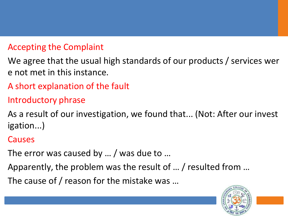#### Accepting the Complaint

We agree that the usual high standards of our products / services wer e not met in this instance.

A short explanation of the fault

#### Introductory phrase

As a result of our investigation, we found that... (Not: After our invest igation...)

#### Causes

The error was caused by … / was due to …

Apparently, the problem was the result of … / resulted from …

The cause of / reason for the mistake was …

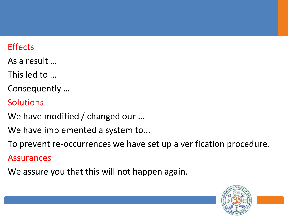#### **Effects**

- As a result …
- This led to …
- Consequently …
- Solutions
- We have modified / changed our ...
- We have implemented a system to...
- To prevent re-occurrences we have set up a verification procedure.
- Assurances
- We assure you that this will not happen again.

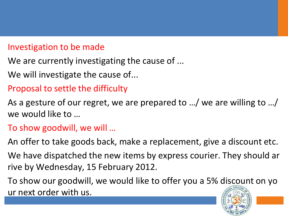#### Investigation to be made

- We are currently investigating the cause of ...
- We will investigate the cause of...
- Proposal to settle the difficulty
- As a gesture of our regret, we are prepared to …/ we are willing to …/ we would like to …
- To show goodwill, we will …
- An offer to take goods back, make a replacement, give a discount etc.
- We have dispatched the new items by express courier. They should ar rive by Wednesday, 15 February 2012.
- To show our goodwill, we would like to offer you a 5% discount on yo ur next order with us.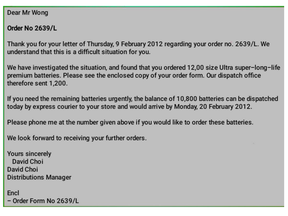Dear Mr Wong

Order No 2639/L

Thank you for your letter of Thursday, 9 February 2012 regarding your order no. 2639/L. We understand that this is a difficult situation for you.

We have investigated the situation, and found that you ordered 12,00 size Ultra super-long-life premium batteries. Please see the enclosed copy of your order form. Our dispatch office therefore sent 1,200.

If you need the remaining batteries urgently, the balance of 10,800 batteries can be dispatched today by express courier to your store and would arrive by Monday, 20 February 2012.

Please phone me at the number given above if you would like to order these batteries.

We look forward to receiving your further orders.

**Yours sincerely** David Choi David Choi **Distributions Manager** 

Encl - Order Form No 2639/L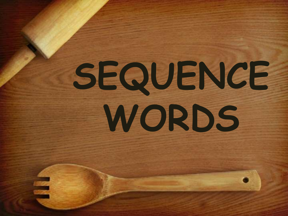# **SEQUENCE WORDS**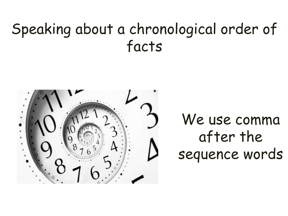## Speaking about a chronological order of facts



## We use comma after the sequence words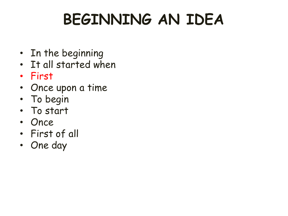# **BEGINNING AN IDEA**

- In the beginning
- It all started when
- First
- Once upon a time
- To begin
- To start
- Once
- First of all
- One day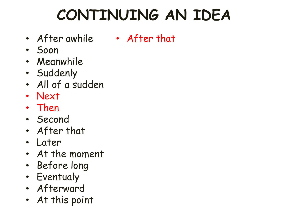## **CONTINUING AN IDEA**

- After awhile After that
- Soon
- Meanwhile
- Suddenly
- All of a sudden
- Next
- Then
- Second
- After that
- Later
- At the moment
- Before long
- Eventualy
- Afterward
- At this point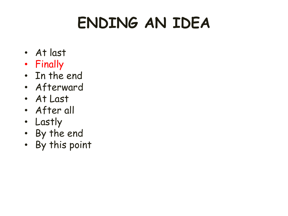# **ENDING AN IDEA**

- At last
- Finally
- In the end
- Afterward
- At Last
- After all
- Lastly
- By the end
- By this point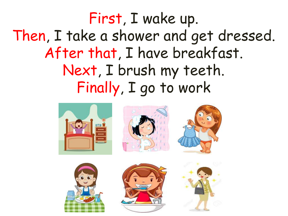First, I wake up. Then, I take a shower and get dressed. After that, I have breakfast. Next, I brush my teeth. Finally, I go to work

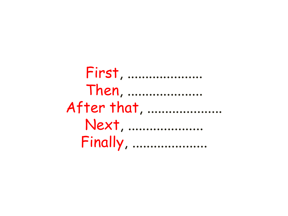First, ..................... Then, .................... After that, .................... Next, .................... **Finally, ...................**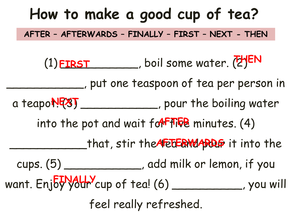# **How to make a good cup of tea?** (1) **FIRST** \_\_\_\_\_\_, boil some water. (2) EN \_\_\_\_\_\_\_\_\_\_\_, put one teaspoon of tea per person in a teapo $\sqrt{R}$ **stea**, pour the boiling water into the pot and wait for **Fille** minutes. (4) that, stir the **AFETERWARDS** it into the cups. (5) \_\_\_\_\_\_\_\_\_\_\_, add milk or lemon, if you want. Enjoy your cup of tea! (6) \_\_\_\_\_\_\_\_\_\_\_\_, you will feel really refreshed. **AFTER – AFTERWARDS – FINALLY – FIRST – NEXT - THEN FINALLY**